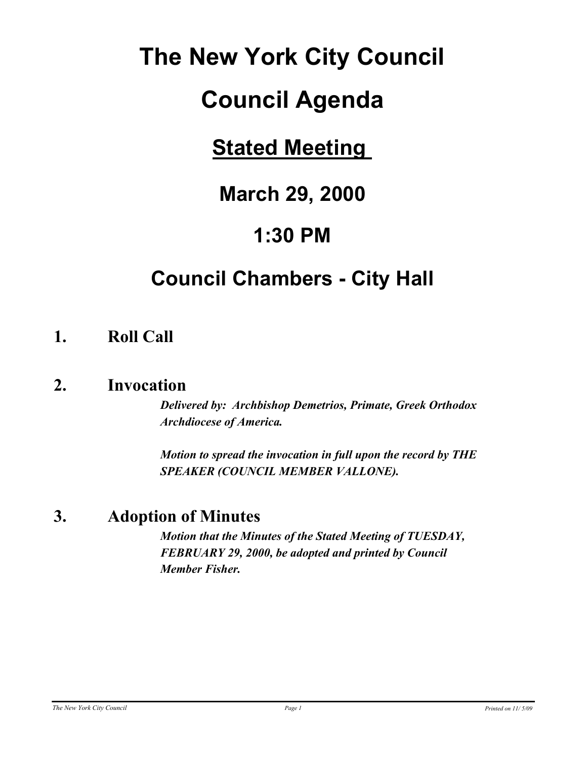# **The New York City Council**

# **Council Agenda**

## **Stated Meeting**

## **March 29, 2000**

## **1:30 PM**

## **Council Chambers - City Hall**

### **1. Roll Call**

### **2. Invocation**

*Delivered by: Archbishop Demetrios, Primate, Greek Orthodox Archdiocese of America.*

*Motion to spread the invocation in full upon the record by THE SPEAKER (COUNCIL MEMBER VALLONE).*

### **3. Adoption of Minutes**

*Motion that the Minutes of the Stated Meeting of TUESDAY, FEBRUARY 29, 2000, be adopted and printed by Council Member Fisher.*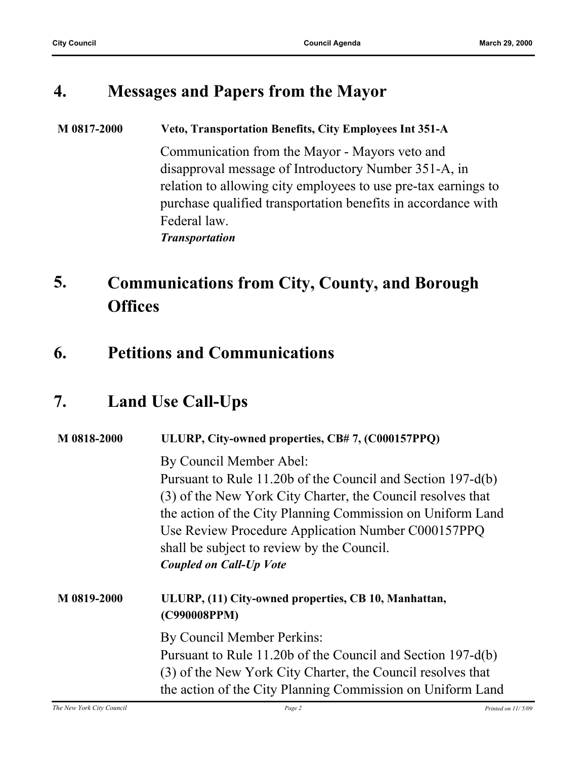### **4. Messages and Papers from the Mayor**

#### **M 0817-2000 Veto, Transportation Benefits, City Employees Int 351-A**

Communication from the Mayor - Mayors veto and disapproval message of Introductory Number 351-A, in relation to allowing city employees to use pre-tax earnings to purchase qualified transportation benefits in accordance with Federal law. *Transportation*

#### **Communications from City, County, and Borough Offices 5.**

### **6. Petitions and Communications**

### **7. Land Use Call-Ups**

| M 0818-2000 | ULURP, City-owned properties, CB#7, (C000157PPQ)                     |  |
|-------------|----------------------------------------------------------------------|--|
|             | By Council Member Abel:                                              |  |
|             | Pursuant to Rule 11.20b of the Council and Section 197-d(b)          |  |
|             | (3) of the New York City Charter, the Council resolves that          |  |
|             | the action of the City Planning Commission on Uniform Land           |  |
|             | Use Review Procedure Application Number C000157PPQ                   |  |
|             | shall be subject to review by the Council.                           |  |
|             | <b>Coupled on Call-Up Vote</b>                                       |  |
| M 0819-2000 | ULURP, (11) City-owned properties, CB 10, Manhattan,<br>(C990008PPM) |  |
|             | By Council Member Perkins:                                           |  |
|             | Pursuant to Rule 11.20b of the Council and Section 197-d(b)          |  |
|             | (3) of the New York City Charter, the Council resolves that          |  |
|             | the action of the City Planning Commission on Uniform Land           |  |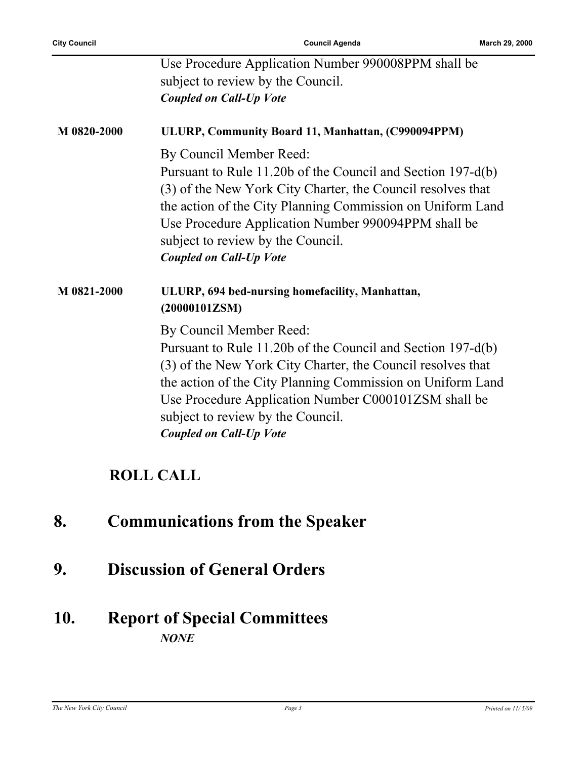**City Council Council Agenda March 29, 2000**

|             | Use Procedure Application Number 990008PPM shall be<br>subject to review by the Council.<br><b>Coupled on Call-Up Vote</b>                                                                                                                                                                                                                         |
|-------------|----------------------------------------------------------------------------------------------------------------------------------------------------------------------------------------------------------------------------------------------------------------------------------------------------------------------------------------------------|
| M 0820-2000 | ULURP, Community Board 11, Manhattan, (C990094PPM)                                                                                                                                                                                                                                                                                                 |
|             | By Council Member Reed:<br>Pursuant to Rule 11.20b of the Council and Section 197-d(b)<br>(3) of the New York City Charter, the Council resolves that<br>the action of the City Planning Commission on Uniform Land<br>Use Procedure Application Number 990094PPM shall be<br>subject to review by the Council.<br><b>Coupled on Call-Up Vote</b>  |
| M 0821-2000 | ULURP, 694 bed-nursing homefacility, Manhattan,<br>(20000101ZSM)                                                                                                                                                                                                                                                                                   |
|             | By Council Member Reed:<br>Pursuant to Rule 11.20b of the Council and Section 197-d(b)<br>(3) of the New York City Charter, the Council resolves that<br>the action of the City Planning Commission on Uniform Land<br>Use Procedure Application Number C000101ZSM shall be<br>subject to review by the Council.<br><b>Coupled on Call-Up Vote</b> |

### **ROLL CALL**

- **8. Communications from the Speaker**
- **9. Discussion of General Orders**

### **10. Report of Special Committees** *NONE*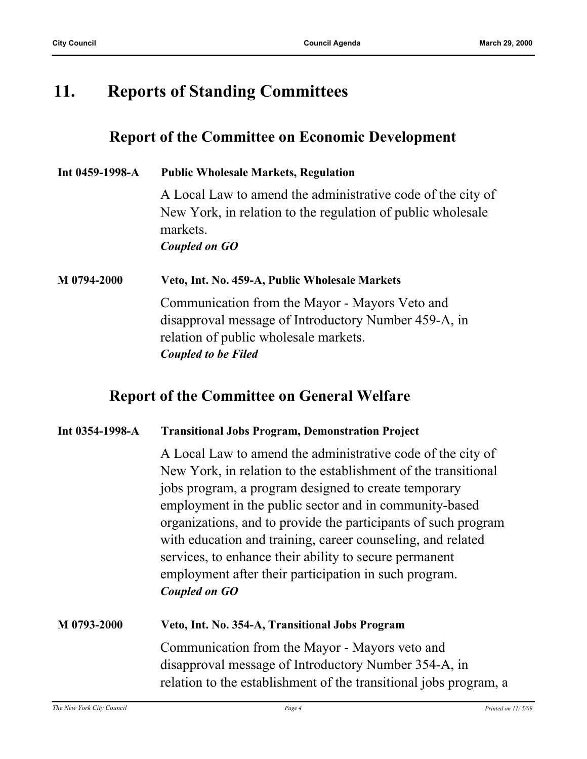### **11. Reports of Standing Committees**

### **Report of the Committee on Economic Development**

| Int 0459-1998-A | <b>Public Wholesale Markets, Regulation</b>                             |  |
|-----------------|-------------------------------------------------------------------------|--|
|                 | A Local Law to amend the administrative code of the city of             |  |
|                 | New York, in relation to the regulation of public wholesale<br>markets. |  |
|                 | Coupled on GO                                                           |  |
| M 0794-2000     | Veto, Int. No. 459-A, Public Wholesale Markets                          |  |
|                 | Communication from the Mayor - Mayors Veto and                          |  |
|                 | disapproval message of Introductory Number 459-A, in                    |  |
|                 | relation of public wholesale markets.                                   |  |
|                 | <b>Coupled to be Filed</b>                                              |  |

### **Report of the Committee on General Welfare**

#### **Int 0354-1998-A Transitional Jobs Program, Demonstration Project**

A Local Law to amend the administrative code of the city of New York, in relation to the establishment of the transitional jobs program, a program designed to create temporary employment in the public sector and in community-based organizations, and to provide the participants of such program with education and training, career counseling, and related services, to enhance their ability to secure permanent employment after their participation in such program. *Coupled on GO*

| M 0793-2000 | Veto, Int. No. 354-A, Transitional Jobs Program                   |
|-------------|-------------------------------------------------------------------|
|             | Communication from the Mayor - Mayors veto and                    |
|             | disapproval message of Introductory Number 354-A, in              |
|             | relation to the establishment of the transitional jobs program, a |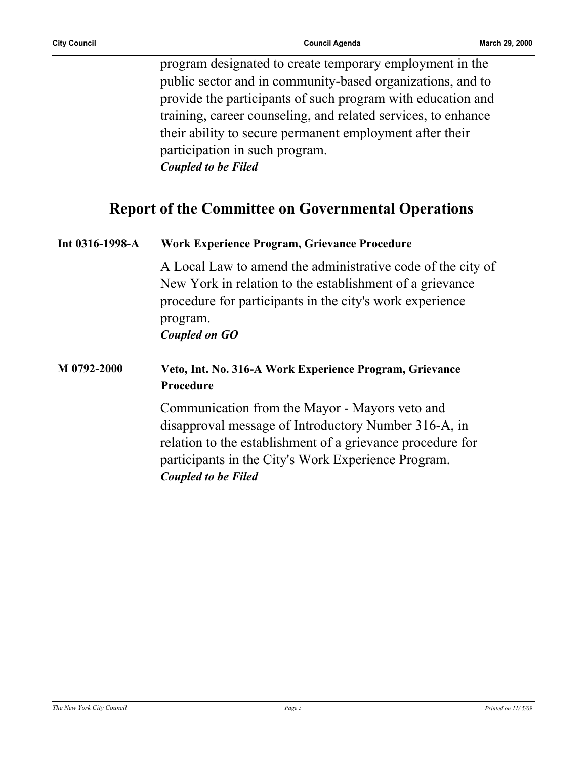program designated to create temporary employment in the public sector and in community-based organizations, and to provide the participants of such program with education and training, career counseling, and related services, to enhance their ability to secure permanent employment after their participation in such program. *Coupled to be Filed*

### **Report of the Committee on Governmental Operations**

| Int 0316-1998-A | Work Experience Program, Grievance Procedure                                                                                                                                                                                                              |  |
|-----------------|-----------------------------------------------------------------------------------------------------------------------------------------------------------------------------------------------------------------------------------------------------------|--|
|                 | A Local Law to amend the administrative code of the city of<br>New York in relation to the establishment of a grievance<br>procedure for participants in the city's work experience<br>program.<br><b>Coupled on GO</b>                                   |  |
| M 0792-2000     | Veto, Int. No. 316-A Work Experience Program, Grievance<br>Procedure                                                                                                                                                                                      |  |
|                 | Communication from the Mayor - Mayors veto and<br>disapproval message of Introductory Number 316-A, in<br>relation to the establishment of a grievance procedure for<br>participants in the City's Work Experience Program.<br><b>Coupled to be Filed</b> |  |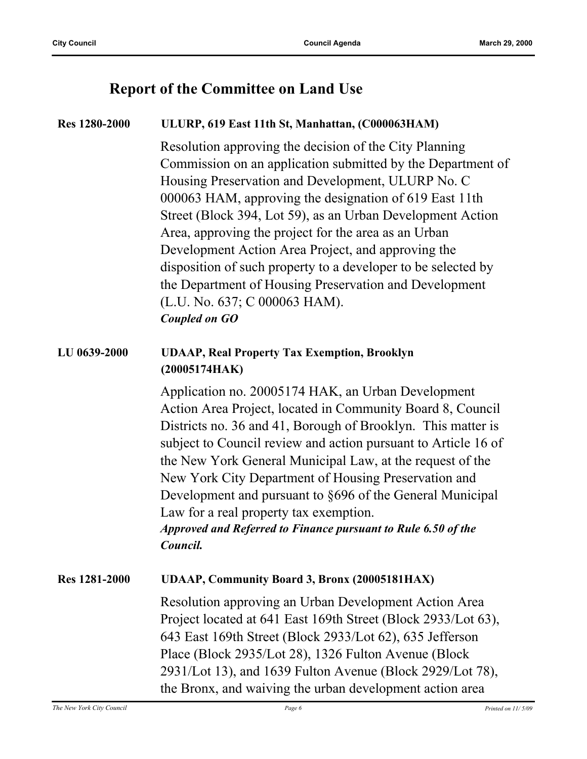### **Report of the Committee on Land Use**

### **Res 1280-2000 ULURP, 619 East 11th St, Manhattan, (C000063HAM)** Resolution approving the decision of the City Planning Commission on an application submitted by the Department of Housing Preservation and Development, ULURP No. C 000063 HAM, approving the designation of 619 East 11th Street (Block 394, Lot 59), as an Urban Development Action Area, approving the project for the area as an Urban Development Action Area Project, and approving the disposition of such property to a developer to be selected by the Department of Housing Preservation and Development (L.U. No. 637; C 000063 HAM). *Coupled on GO* **LU 0639-2000 UDAAP, Real Property Tax Exemption, Brooklyn (20005174HAK)** Application no. 20005174 HAK, an Urban Development Action Area Project, located in Community Board 8, Council Districts no. 36 and 41, Borough of Brooklyn. This matter is subject to Council review and action pursuant to Article 16 of the New York General Municipal Law, at the request of the New York City Department of Housing Preservation and Development and pursuant to §696 of the General Municipal Law for a real property tax exemption. *Approved and Referred to Finance pursuant to Rule 6.50 of the Council.* **Res 1281-2000 UDAAP, Community Board 3, Bronx (20005181HAX)** Resolution approving an Urban Development Action Area Project located at 641 East 169th Street (Block 2933/Lot 63), 643 East 169th Street (Block 2933/Lot 62), 635 Jefferson Place (Block 2935/Lot 28), 1326 Fulton Avenue (Block 2931/Lot 13), and 1639 Fulton Avenue (Block 2929/Lot 78), the Bronx, and waiving the urban development action area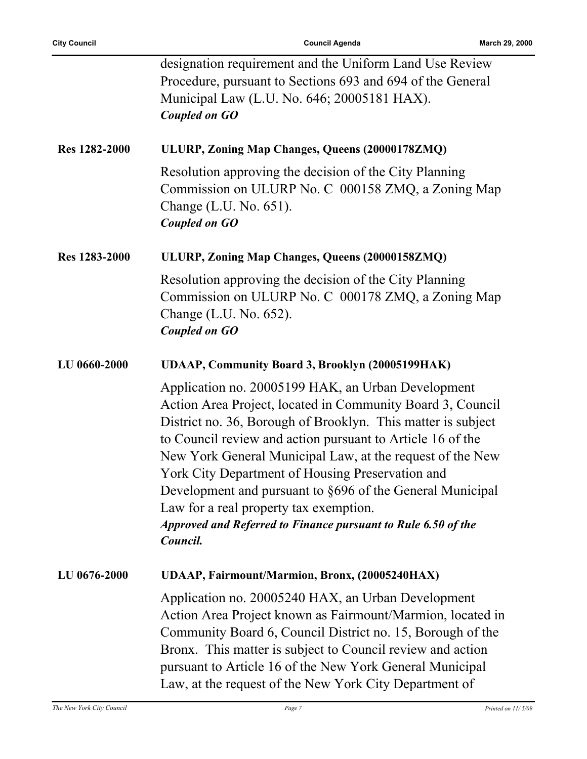|                      | designation requirement and the Uniform Land Use Review<br>Procedure, pursuant to Sections 693 and 694 of the General<br>Municipal Law (L.U. No. 646; 20005181 HAX).<br><b>Coupled on GO</b>                                                                                                                                                                                                                                                                                                                                                        |
|----------------------|-----------------------------------------------------------------------------------------------------------------------------------------------------------------------------------------------------------------------------------------------------------------------------------------------------------------------------------------------------------------------------------------------------------------------------------------------------------------------------------------------------------------------------------------------------|
| <b>Res 1282-2000</b> | ULURP, Zoning Map Changes, Queens (20000178ZMQ)                                                                                                                                                                                                                                                                                                                                                                                                                                                                                                     |
|                      | Resolution approving the decision of the City Planning<br>Commission on ULURP No. C 000158 ZMQ, a Zoning Map<br>Change (L.U. No. 651).<br><b>Coupled on GO</b>                                                                                                                                                                                                                                                                                                                                                                                      |
| <b>Res</b> 1283-2000 | ULURP, Zoning Map Changes, Queens (20000158ZMQ)                                                                                                                                                                                                                                                                                                                                                                                                                                                                                                     |
|                      | Resolution approving the decision of the City Planning<br>Commission on ULURP No. C 000178 ZMQ, a Zoning Map<br>Change (L.U. No. 652).<br><b>Coupled on GO</b>                                                                                                                                                                                                                                                                                                                                                                                      |
| LU 0660-2000         | UDAAP, Community Board 3, Brooklyn (20005199HAK)                                                                                                                                                                                                                                                                                                                                                                                                                                                                                                    |
|                      | Application no. 20005199 HAK, an Urban Development<br>Action Area Project, located in Community Board 3, Council<br>District no. 36, Borough of Brooklyn. This matter is subject<br>to Council review and action pursuant to Article 16 of the<br>New York General Municipal Law, at the request of the New<br>York City Department of Housing Preservation and<br>Development and pursuant to §696 of the General Municipal<br>Law for a real property tax exemption.<br>Approved and Referred to Finance pursuant to Rule 6.50 of the<br>Council. |
| LU 0676-2000         | UDAAP, Fairmount/Marmion, Bronx, (20005240HAX)                                                                                                                                                                                                                                                                                                                                                                                                                                                                                                      |
|                      | Application no. 20005240 HAX, an Urban Development<br>Action Area Project known as Fairmount/Marmion, located in<br>Community Board 6, Council District no. 15, Borough of the<br>Bronx. This matter is subject to Council review and action<br>pursuant to Article 16 of the New York General Municipal<br>Law, at the request of the New York City Department of                                                                                                                                                                                  |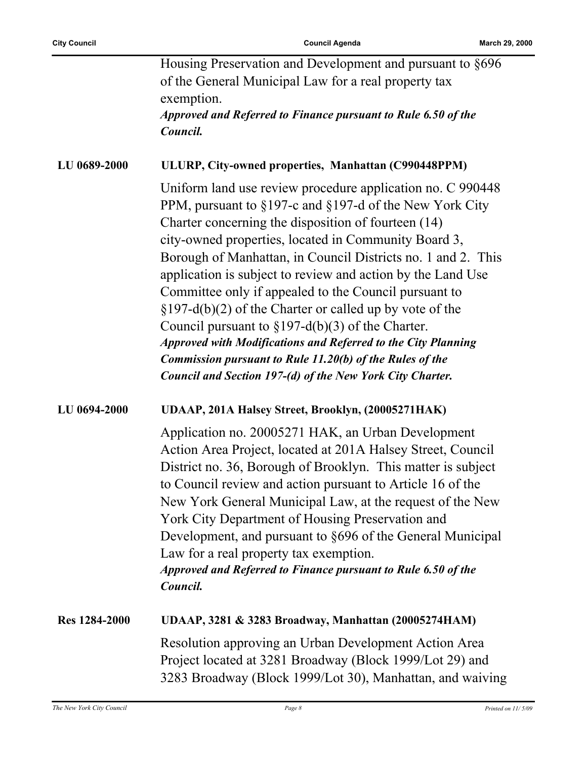|                      | Housing Preservation and Development and pursuant to §696                                                                                                                                                                                                                                                                                                                                                                                                                                                                                             |
|----------------------|-------------------------------------------------------------------------------------------------------------------------------------------------------------------------------------------------------------------------------------------------------------------------------------------------------------------------------------------------------------------------------------------------------------------------------------------------------------------------------------------------------------------------------------------------------|
|                      | of the General Municipal Law for a real property tax                                                                                                                                                                                                                                                                                                                                                                                                                                                                                                  |
|                      | exemption.                                                                                                                                                                                                                                                                                                                                                                                                                                                                                                                                            |
|                      | Approved and Referred to Finance pursuant to Rule 6.50 of the                                                                                                                                                                                                                                                                                                                                                                                                                                                                                         |
|                      | Council.                                                                                                                                                                                                                                                                                                                                                                                                                                                                                                                                              |
|                      |                                                                                                                                                                                                                                                                                                                                                                                                                                                                                                                                                       |
| LU 0689-2000         | ULURP, City-owned properties, Manhattan (C990448PPM)                                                                                                                                                                                                                                                                                                                                                                                                                                                                                                  |
|                      | Uniform land use review procedure application no. C 990448<br>PPM, pursuant to §197-c and §197-d of the New York City<br>Charter concerning the disposition of fourteen (14)                                                                                                                                                                                                                                                                                                                                                                          |
|                      | city-owned properties, located in Community Board 3,<br>Borough of Manhattan, in Council Districts no. 1 and 2. This                                                                                                                                                                                                                                                                                                                                                                                                                                  |
|                      | application is subject to review and action by the Land Use<br>Committee only if appealed to the Council pursuant to<br>$\S 197-d(b)(2)$ of the Charter or called up by vote of the                                                                                                                                                                                                                                                                                                                                                                   |
|                      | Council pursuant to $\S 197-d(b)(3)$ of the Charter.                                                                                                                                                                                                                                                                                                                                                                                                                                                                                                  |
|                      | <b>Approved with Modifications and Referred to the City Planning</b>                                                                                                                                                                                                                                                                                                                                                                                                                                                                                  |
|                      | Commission pursuant to Rule 11.20(b) of the Rules of the                                                                                                                                                                                                                                                                                                                                                                                                                                                                                              |
|                      | Council and Section 197-(d) of the New York City Charter.                                                                                                                                                                                                                                                                                                                                                                                                                                                                                             |
|                      |                                                                                                                                                                                                                                                                                                                                                                                                                                                                                                                                                       |
| LU 0694-2000         | UDAAP, 201A Halsey Street, Brooklyn, (20005271HAK)                                                                                                                                                                                                                                                                                                                                                                                                                                                                                                    |
|                      | Application no. 20005271 HAK, an Urban Development<br>Action Area Project, located at 201A Halsey Street, Council<br>District no. 36, Borough of Brooklyn. This matter is subject<br>to Council review and action pursuant to Article 16 of the<br>New York General Municipal Law, at the request of the New<br>York City Department of Housing Preservation and<br>Development, and pursuant to §696 of the General Municipal<br>Law for a real property tax exemption.<br>Approved and Referred to Finance pursuant to Rule 6.50 of the<br>Council. |
| <b>Res 1284-2000</b> | UDAAP, 3281 & 3283 Broadway, Manhattan (20005274HAM)                                                                                                                                                                                                                                                                                                                                                                                                                                                                                                  |
|                      | Resolution approving an Urban Development Action Area<br>Project located at 3281 Broadway (Block 1999/Lot 29) and<br>3283 Broadway (Block 1999/Lot 30), Manhattan, and waiving                                                                                                                                                                                                                                                                                                                                                                        |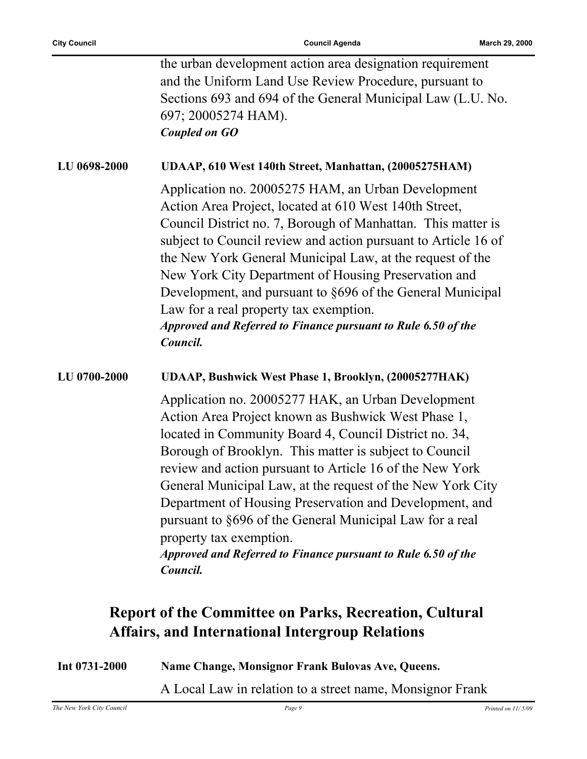|              | the urban development action area designation requirement<br>and the Uniform Land Use Review Procedure, pursuant to<br>Sections 693 and 694 of the General Municipal Law (L.U. No.<br>697; 20005274 HAM).<br><b>Coupled on GO</b>                                                                                                                                                                                                                                                                                                                                                      |
|--------------|----------------------------------------------------------------------------------------------------------------------------------------------------------------------------------------------------------------------------------------------------------------------------------------------------------------------------------------------------------------------------------------------------------------------------------------------------------------------------------------------------------------------------------------------------------------------------------------|
| LU 0698-2000 | UDAAP, 610 West 140th Street, Manhattan, (20005275HAM)                                                                                                                                                                                                                                                                                                                                                                                                                                                                                                                                 |
|              | Application no. 20005275 HAM, an Urban Development<br>Action Area Project, located at 610 West 140th Street,<br>Council District no. 7, Borough of Manhattan. This matter is<br>subject to Council review and action pursuant to Article 16 of<br>the New York General Municipal Law, at the request of the<br>New York City Department of Housing Preservation and<br>Development, and pursuant to §696 of the General Municipal<br>Law for a real property tax exemption.<br>Approved and Referred to Finance pursuant to Rule 6.50 of the<br>Council.                               |
| LU 0700-2000 | UDAAP, Bushwick West Phase 1, Brooklyn, (20005277HAK)                                                                                                                                                                                                                                                                                                                                                                                                                                                                                                                                  |
|              | Application no. 20005277 HAK, an Urban Development<br>Action Area Project known as Bushwick West Phase 1,<br>located in Community Board 4, Council District no. 34,<br>Borough of Brooklyn. This matter is subject to Council<br>review and action pursuant to Article 16 of the New York<br>General Municipal Law, at the request of the New York City<br>Department of Housing Preservation and Development, and<br>pursuant to §696 of the General Municipal Law for a real<br>property tax exemption.<br>Approved and Referred to Finance pursuant to Rule 6.50 of the<br>Council. |
|              | <b>Report of the Committee on Parks, Recreation, Cultural</b>                                                                                                                                                                                                                                                                                                                                                                                                                                                                                                                          |
|              | <b>Affairs, and International Intergroup Relations</b>                                                                                                                                                                                                                                                                                                                                                                                                                                                                                                                                 |

| Int $0731 - 2000$         | Name Change, Monsignor Frank Bulovas Ave, Queens.         |                      |
|---------------------------|-----------------------------------------------------------|----------------------|
|                           | A Local Law in relation to a street name, Monsignor Frank |                      |
| The New York City Council | Page 9                                                    | Printed on $11/5/09$ |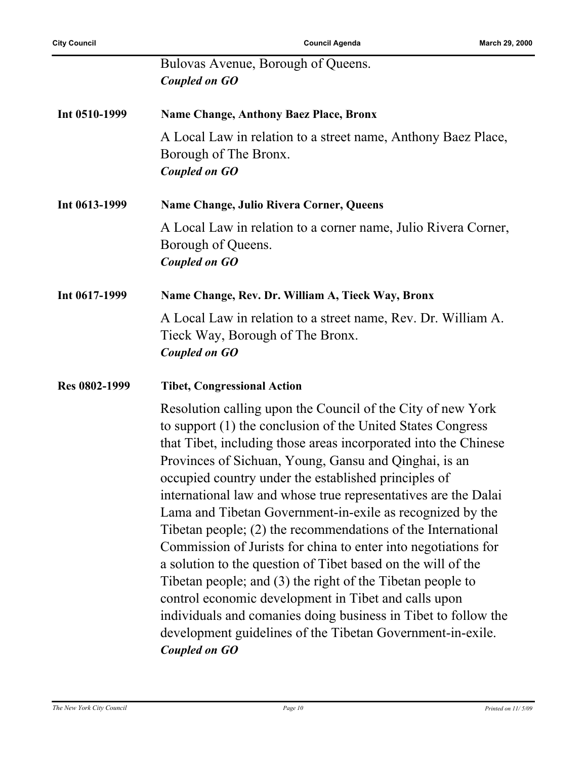|               | Bulovas Avenue, Borough of Queens.<br><b>Coupled on GO</b>                                                                                                                                                                                                                                                                                                                                                                                                                                                                                                                                                                                                                                                                                                                                                                                                                                                                    |
|---------------|-------------------------------------------------------------------------------------------------------------------------------------------------------------------------------------------------------------------------------------------------------------------------------------------------------------------------------------------------------------------------------------------------------------------------------------------------------------------------------------------------------------------------------------------------------------------------------------------------------------------------------------------------------------------------------------------------------------------------------------------------------------------------------------------------------------------------------------------------------------------------------------------------------------------------------|
| Int 0510-1999 | <b>Name Change, Anthony Baez Place, Bronx</b>                                                                                                                                                                                                                                                                                                                                                                                                                                                                                                                                                                                                                                                                                                                                                                                                                                                                                 |
|               | A Local Law in relation to a street name, Anthony Baez Place,<br>Borough of The Bronx.<br><b>Coupled on GO</b>                                                                                                                                                                                                                                                                                                                                                                                                                                                                                                                                                                                                                                                                                                                                                                                                                |
| Int 0613-1999 | <b>Name Change, Julio Rivera Corner, Queens</b>                                                                                                                                                                                                                                                                                                                                                                                                                                                                                                                                                                                                                                                                                                                                                                                                                                                                               |
|               | A Local Law in relation to a corner name, Julio Rivera Corner,<br>Borough of Queens.<br><b>Coupled on GO</b>                                                                                                                                                                                                                                                                                                                                                                                                                                                                                                                                                                                                                                                                                                                                                                                                                  |
| Int 0617-1999 | Name Change, Rev. Dr. William A, Tieck Way, Bronx                                                                                                                                                                                                                                                                                                                                                                                                                                                                                                                                                                                                                                                                                                                                                                                                                                                                             |
|               | A Local Law in relation to a street name, Rev. Dr. William A.<br>Tieck Way, Borough of The Bronx.<br><b>Coupled on GO</b>                                                                                                                                                                                                                                                                                                                                                                                                                                                                                                                                                                                                                                                                                                                                                                                                     |
| Res 0802-1999 | <b>Tibet, Congressional Action</b>                                                                                                                                                                                                                                                                                                                                                                                                                                                                                                                                                                                                                                                                                                                                                                                                                                                                                            |
|               | Resolution calling upon the Council of the City of new York<br>to support (1) the conclusion of the United States Congress<br>that Tibet, including those areas incorporated into the Chinese<br>Provinces of Sichuan, Young, Gansu and Qinghai, is an<br>occupied country under the established principles of<br>international law and whose true representatives are the Dalai<br>Lama and Tibetan Government-in-exile as recognized by the<br>Tibetan people; (2) the recommendations of the International<br>Commission of Jurists for china to enter into negotiations for<br>a solution to the question of Tibet based on the will of the<br>Tibetan people; and (3) the right of the Tibetan people to<br>control economic development in Tibet and calls upon<br>individuals and comanies doing business in Tibet to follow the<br>development guidelines of the Tibetan Government-in-exile.<br><b>Coupled on GO</b> |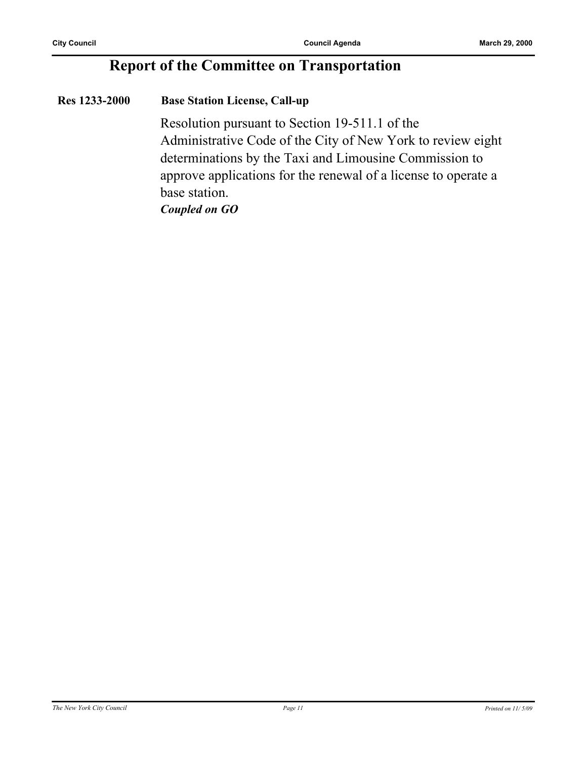### **Report of the Committee on Transportation**

#### **Res 1233-2000 Base Station License, Call-up**

Resolution pursuant to Section 19-511.1 of the Administrative Code of the City of New York to review eight determinations by the Taxi and Limousine Commission to approve applications for the renewal of a license to operate a base station.

*Coupled on GO*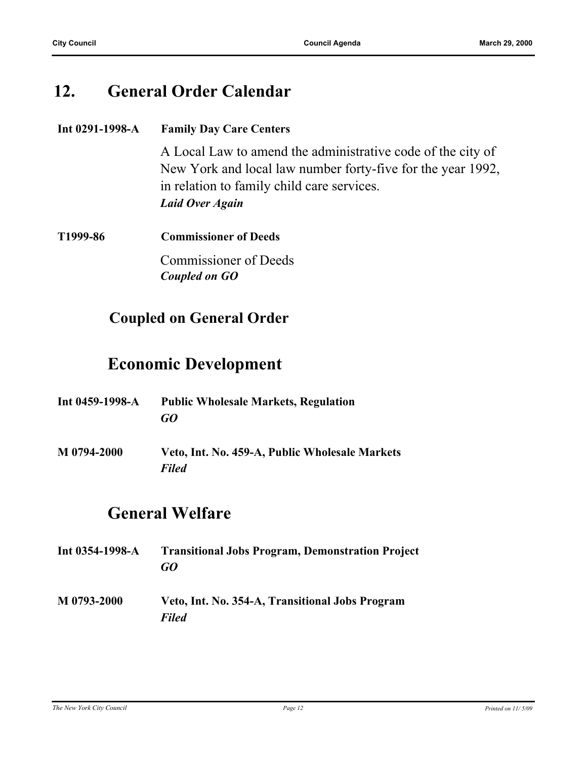### **12. General Order Calendar**

| Int $0291-1998-A$ | <b>Family Day Care Centers</b>                              |  |
|-------------------|-------------------------------------------------------------|--|
|                   | A Local Law to amend the administrative code of the city of |  |
|                   | New York and local law number forty-five for the year 1992, |  |
|                   | in relation to family child care services.                  |  |
|                   | Laid Over Again                                             |  |
| T1999-86          | <b>Commissioner of Deeds</b>                                |  |
|                   | <b>Commissioner of Deeds</b>                                |  |
|                   | Coupled on GO                                               |  |

### **Coupled on General Order**

### **Economic Development**

| Int $0459-1998-A$ | <b>Public Wholesale Markets, Regulation</b><br>GO              |
|-------------------|----------------------------------------------------------------|
| M 0794-2000       | Veto, Int. No. 459-A, Public Wholesale Markets<br><b>Filed</b> |

### **General Welfare**

**Int 0354-1998-A Transitional Jobs Program, Demonstration Project** *GO* **M 0793-2000 Veto, Int. No. 354-A, Transitional Jobs Program** *Filed*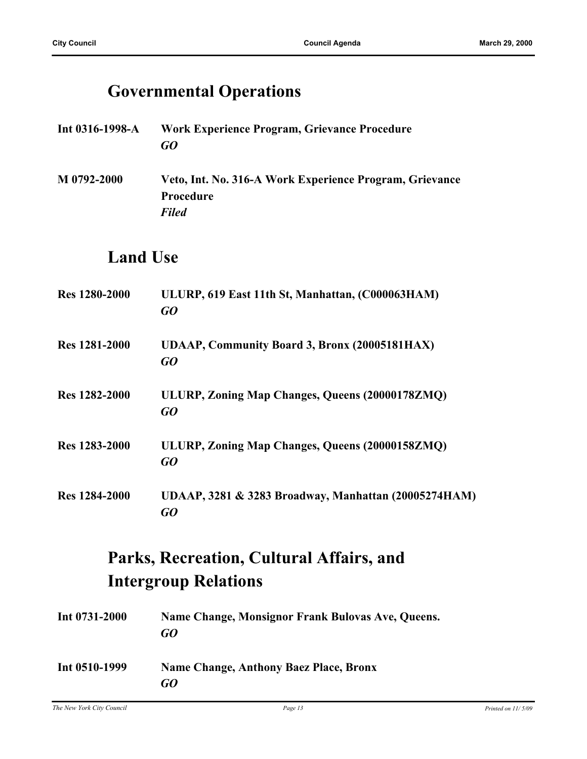### **Governmental Operations**

- **Int 0316-1998-A Work Experience Program, Grievance Procedure** *GO*
- **M 0792-2000 Veto, Int. No. 316-A Work Experience Program, Grievance Procedure** *Filed*

### **Land Use**

| <b>Res</b> 1280-2000 | ULURP, 619 East 11th St, Manhattan, (C000063HAM)<br>GO     |
|----------------------|------------------------------------------------------------|
| <b>Res</b> 1281-2000 | <b>UDAAP, Community Board 3, Bronx (20005181HAX)</b><br>GQ |
| <b>Res</b> 1282-2000 | ULURP, Zoning Map Changes, Queens (20000178ZMQ)<br>GQ      |
| Res 1283-2000        | ULURP, Zoning Map Changes, Queens (20000158ZMQ)<br>GQ      |
| <b>Res</b> 1284-2000 | UDAAP, 3281 & 3283 Broadway, Manhattan (20005274HAM)<br>GO |

### **Parks, Recreation, Cultural Affairs, and Intergroup Relations**

| Int $0731 - 2000$ | Name Change, Monsignor Frank Bulovas Ave, Queens.<br>GO |
|-------------------|---------------------------------------------------------|
| Int 0510-1999     | Name Change, Anthony Baez Place, Bronx<br>GO            |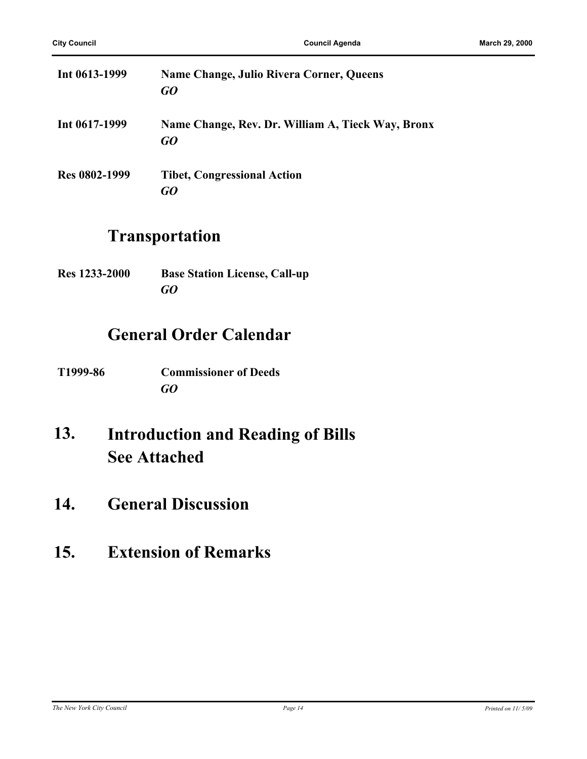| Int $0613 - 1999$ | <b>Name Change, Julio Rivera Corner, Queens</b><br>GO   |
|-------------------|---------------------------------------------------------|
| Int 0617-1999     | Name Change, Rev. Dr. William A, Tieck Way, Bronx<br>GO |
| Res 0802-1999     | <b>Tibet, Congressional Action</b><br>GO                |

### **Transportation**

| <b>Res</b> 1233-2000 | <b>Base Station License, Call-up</b> |
|----------------------|--------------------------------------|
|                      | GO                                   |

### **General Order Calendar**

| T1999-86 | <b>Commissioner of Deeds</b> |
|----------|------------------------------|
|          | GO                           |

#### **Introduction and Reading of Bills See Attached 13.**

- **14. General Discussion**
- **15. Extension of Remarks**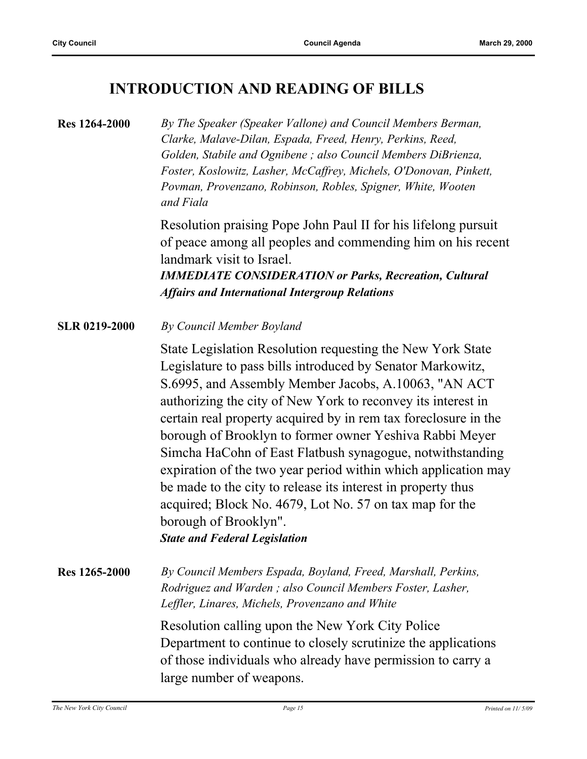### **INTRODUCTION AND READING OF BILLS**

#### **Res 1264-2000** *By The Speaker (Speaker Vallone) and Council Members Berman, Clarke, Malave-Dilan, Espada, Freed, Henry, Perkins, Reed, Golden, Stabile and Ognibene ; also Council Members DiBrienza, Foster, Koslowitz, Lasher, McCaffrey, Michels, O'Donovan, Pinkett, Povman, Provenzano, Robinson, Robles, Spigner, White, Wooten and Fiala*

Resolution praising Pope John Paul II for his lifelong pursuit of peace among all peoples and commending him on his recent landmark visit to Israel.

*IMMEDIATE CONSIDERATION or Parks, Recreation, Cultural Affairs and International Intergroup Relations*

**SLR 0219-2000** *By Council Member Boyland*

State Legislation Resolution requesting the New York State Legislature to pass bills introduced by Senator Markowitz, S.6995, and Assembly Member Jacobs, A.10063, "AN ACT authorizing the city of New York to reconvey its interest in certain real property acquired by in rem tax foreclosure in the borough of Brooklyn to former owner Yeshiva Rabbi Meyer Simcha HaCohn of East Flatbush synagogue, notwithstanding expiration of the two year period within which application may be made to the city to release its interest in property thus acquired; Block No. 4679, Lot No. 57 on tax map for the borough of Brooklyn". *State and Federal Legislation*

**Res 1265-2000** *By Council Members Espada, Boyland, Freed, Marshall, Perkins, Rodriguez and Warden ; also Council Members Foster, Lasher, Leffler, Linares, Michels, Provenzano and White*

> Resolution calling upon the New York City Police Department to continue to closely scrutinize the applications of those individuals who already have permission to carry a large number of weapons.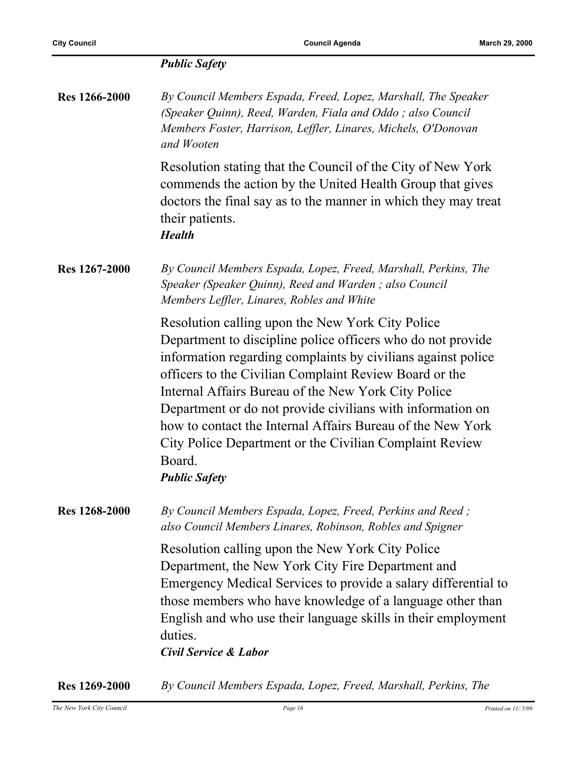| <b>Public Safety</b> |  |
|----------------------|--|
|----------------------|--|

| <b>Res 1266-2000</b> | By Council Members Espada, Freed, Lopez, Marshall, The Speaker |
|----------------------|----------------------------------------------------------------|
|                      | (Speaker Quinn), Reed, Warden, Fiala and Oddo; also Council    |
|                      | Members Foster, Harrison, Leffler, Linares, Michels, O'Donovan |
|                      | and Wooten                                                     |
|                      |                                                                |

Resolution stating that the Council of the City of New York commends the action by the United Health Group that gives doctors the final say as to the manner in which they may treat their patients.

*Health*

**Res 1267-2000** *By Council Members Espada, Lopez, Freed, Marshall, Perkins, The Speaker (Speaker Quinn), Reed and Warden ; also Council Members Leffler, Linares, Robles and White*

> Resolution calling upon the New York City Police Department to discipline police officers who do not provide information regarding complaints by civilians against police officers to the Civilian Complaint Review Board or the Internal Affairs Bureau of the New York City Police Department or do not provide civilians with information on how to contact the Internal Affairs Bureau of the New York City Police Department or the Civilian Complaint Review Board.

*Public Safety*

**Res 1268-2000** *By Council Members Espada, Lopez, Freed, Perkins and Reed ; also Council Members Linares, Robinson, Robles and Spigner*

> Resolution calling upon the New York City Police Department, the New York City Fire Department and Emergency Medical Services to provide a salary differential to those members who have knowledge of a language other than English and who use their language skills in their employment duties.

*Civil Service & Labor*

**Res 1269-2000** *By Council Members Espada, Lopez, Freed, Marshall, Perkins, The*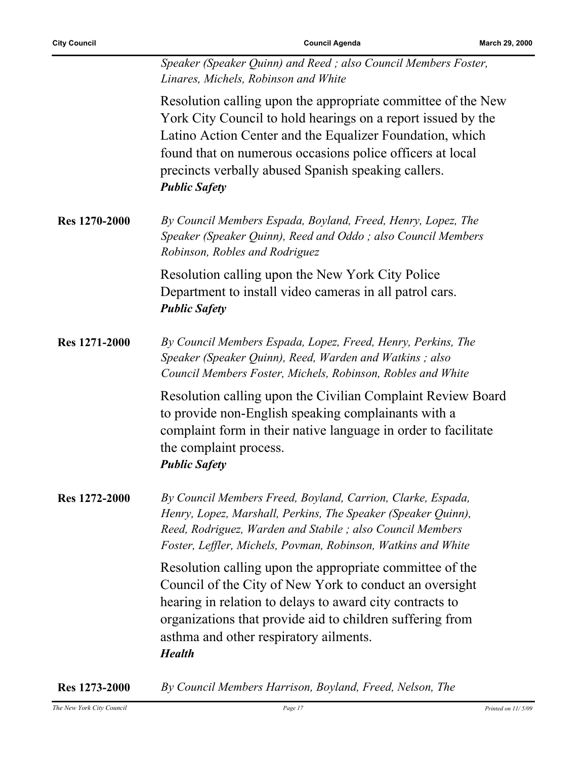**City Council Council Agenda March 29, 2000**

| Speaker (Speaker Quinn) and Reed; also Council Members Foster, |
|----------------------------------------------------------------|
| Linares, Michels, Robinson and White                           |

Resolution calling upon the appropriate committee of the New York City Council to hold hearings on a report issued by the Latino Action Center and the Equalizer Foundation, which found that on numerous occasions police officers at local precincts verbally abused Spanish speaking callers. *Public Safety*

**Res 1270-2000** *By Council Members Espada, Boyland, Freed, Henry, Lopez, The Speaker (Speaker Quinn), Reed and Oddo ; also Council Members Robinson, Robles and Rodriguez*

> Resolution calling upon the New York City Police Department to install video cameras in all patrol cars. *Public Safety*

**Res 1271-2000** *By Council Members Espada, Lopez, Freed, Henry, Perkins, The Speaker (Speaker Quinn), Reed, Warden and Watkins ; also Council Members Foster, Michels, Robinson, Robles and White*

> Resolution calling upon the Civilian Complaint Review Board to provide non-English speaking complainants with a complaint form in their native language in order to facilitate the complaint process. *Public Safety*

**Res 1272-2000** *By Council Members Freed, Boyland, Carrion, Clarke, Espada, Henry, Lopez, Marshall, Perkins, The Speaker (Speaker Quinn), Reed, Rodriguez, Warden and Stabile ; also Council Members Foster, Leffler, Michels, Povman, Robinson, Watkins and White*

> Resolution calling upon the appropriate committee of the Council of the City of New York to conduct an oversight hearing in relation to delays to award city contracts to organizations that provide aid to children suffering from asthma and other respiratory ailments. *Health*

**Res 1273-2000** *By Council Members Harrison, Boyland, Freed, Nelson, The*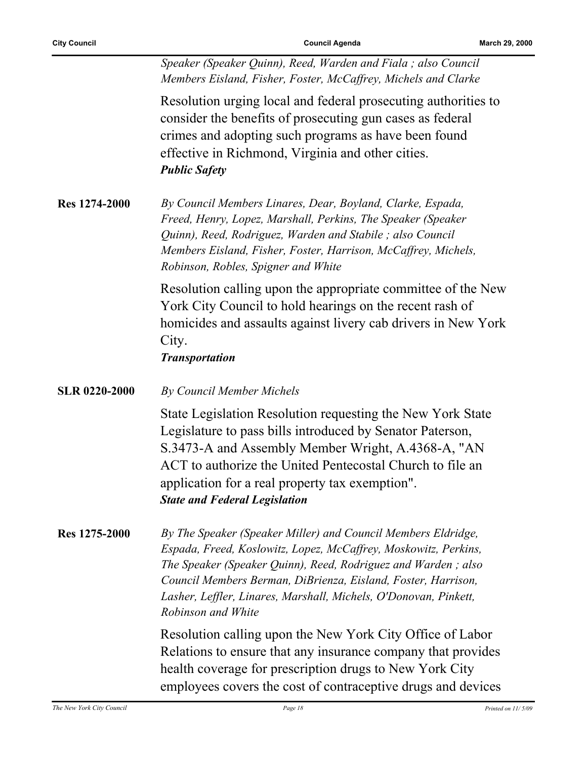*Speaker (Speaker Quinn), Reed, Warden and Fiala ; also Council Members Eisland, Fisher, Foster, McCaffrey, Michels and Clarke*

Resolution urging local and federal prosecuting authorities to consider the benefits of prosecuting gun cases as federal crimes and adopting such programs as have been found effective in Richmond, Virginia and other cities. *Public Safety*

**Res 1274-2000** *By Council Members Linares, Dear, Boyland, Clarke, Espada, Freed, Henry, Lopez, Marshall, Perkins, The Speaker (Speaker Quinn), Reed, Rodriguez, Warden and Stabile ; also Council Members Eisland, Fisher, Foster, Harrison, McCaffrey, Michels, Robinson, Robles, Spigner and White*

> Resolution calling upon the appropriate committee of the New York City Council to hold hearings on the recent rash of homicides and assaults against livery cab drivers in New York City.

#### *Transportation*

| <b>SLR 0220-2000</b> | By Council Member Michels                                  |
|----------------------|------------------------------------------------------------|
|                      | State Legislation Resolution requesting the New York State |
|                      | Legislature to pass bills introduced by Senator Paterson,  |
|                      | S.3473-A and Assembly Member Wright, A.4368-A, "AN         |
|                      | ACT to authorize the United Pentecostal Church to file an  |
|                      | application for a real property tax exemption".            |
|                      |                                                            |

#### *State and Federal Legislation*

**Res 1275-2000** *By The Speaker (Speaker Miller) and Council Members Eldridge, Espada, Freed, Koslowitz, Lopez, McCaffrey, Moskowitz, Perkins, The Speaker (Speaker Quinn), Reed, Rodriguez and Warden ; also Council Members Berman, DiBrienza, Eisland, Foster, Harrison, Lasher, Leffler, Linares, Marshall, Michels, O'Donovan, Pinkett, Robinson and White*

> Resolution calling upon the New York City Office of Labor Relations to ensure that any insurance company that provides health coverage for prescription drugs to New York City employees covers the cost of contraceptive drugs and devices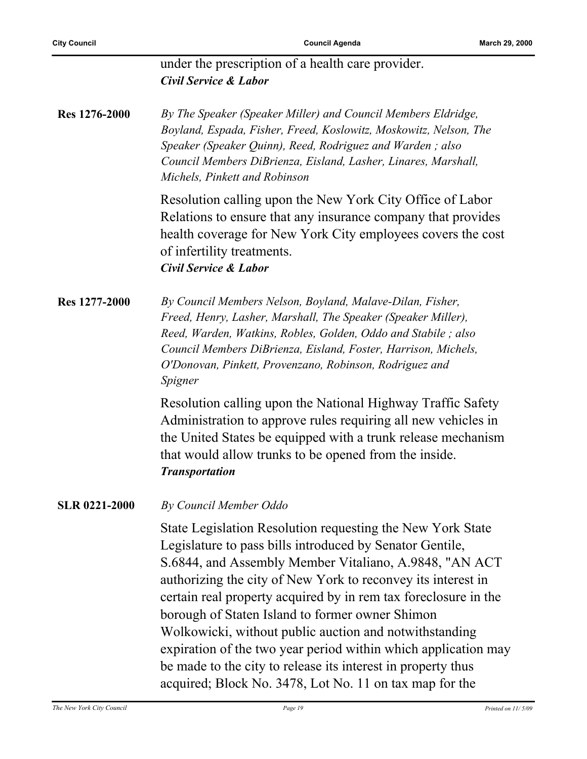#### under the prescription of a health care provider. *Civil Service & Labor*

**Res 1276-2000** *By The Speaker (Speaker Miller) and Council Members Eldridge, Boyland, Espada, Fisher, Freed, Koslowitz, Moskowitz, Nelson, The Speaker (Speaker Quinn), Reed, Rodriguez and Warden ; also Council Members DiBrienza, Eisland, Lasher, Linares, Marshall, Michels, Pinkett and Robinson*

> Resolution calling upon the New York City Office of Labor Relations to ensure that any insurance company that provides health coverage for New York City employees covers the cost of infertility treatments. *Civil Service & Labor*

**Res 1277-2000** *By Council Members Nelson, Boyland, Malave-Dilan, Fisher, Freed, Henry, Lasher, Marshall, The Speaker (Speaker Miller), Reed, Warden, Watkins, Robles, Golden, Oddo and Stabile ; also Council Members DiBrienza, Eisland, Foster, Harrison, Michels, O'Donovan, Pinkett, Provenzano, Robinson, Rodriguez and Spigner*

> Resolution calling upon the National Highway Traffic Safety Administration to approve rules requiring all new vehicles in the United States be equipped with a trunk release mechanism that would allow trunks to be opened from the inside. *Transportation*

#### **SLR 0221-2000** *By Council Member Oddo*

State Legislation Resolution requesting the New York State Legislature to pass bills introduced by Senator Gentile, S.6844, and Assembly Member Vitaliano, A.9848, "AN ACT authorizing the city of New York to reconvey its interest in certain real property acquired by in rem tax foreclosure in the borough of Staten Island to former owner Shimon Wolkowicki, without public auction and notwithstanding expiration of the two year period within which application may be made to the city to release its interest in property thus acquired; Block No. 3478, Lot No. 11 on tax map for the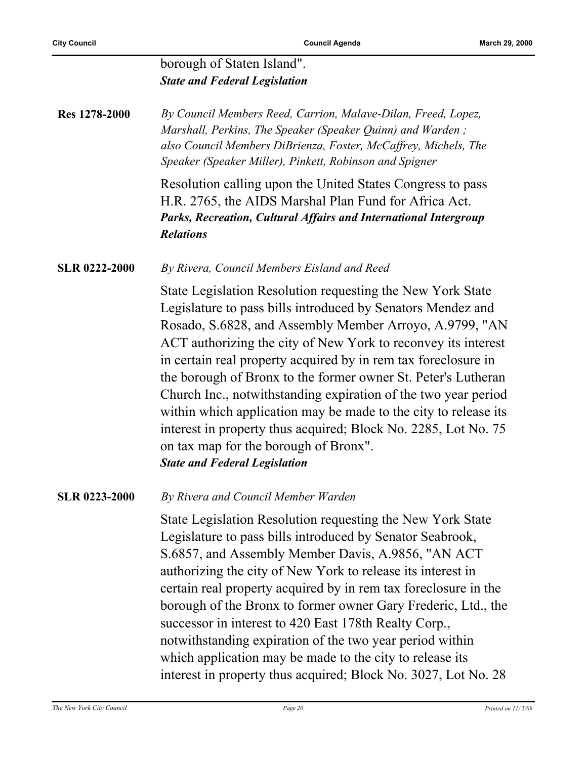#### borough of Staten Island". *State and Federal Legislation*

| <b>Res</b> 1278-2000 | By Council Members Reed, Carrion, Malave-Dilan, Freed, Lopez,   |
|----------------------|-----------------------------------------------------------------|
|                      | Marshall, Perkins, The Speaker (Speaker Quinn) and Warden;      |
|                      | also Council Members DiBrienza, Foster, McCaffrey, Michels, The |
|                      | Speaker (Speaker Miller), Pinkett, Robinson and Spigner         |

Resolution calling upon the United States Congress to pass H.R. 2765, the AIDS Marshal Plan Fund for Africa Act. *Parks, Recreation, Cultural Affairs and International Intergroup Relations*

**SLR 0222-2000** *By Rivera, Council Members Eisland and Reed*

State Legislation Resolution requesting the New York State Legislature to pass bills introduced by Senators Mendez and Rosado, S.6828, and Assembly Member Arroyo, A.9799, "AN ACT authorizing the city of New York to reconvey its interest in certain real property acquired by in rem tax foreclosure in the borough of Bronx to the former owner St. Peter's Lutheran Church Inc., notwithstanding expiration of the two year period within which application may be made to the city to release its interest in property thus acquired; Block No. 2285, Lot No. 75 on tax map for the borough of Bronx". *State and Federal Legislation*

**SLR 0223-2000** *By Rivera and Council Member Warden*

State Legislation Resolution requesting the New York State Legislature to pass bills introduced by Senator Seabrook, S.6857, and Assembly Member Davis, A.9856, "AN ACT authorizing the city of New York to release its interest in certain real property acquired by in rem tax foreclosure in the borough of the Bronx to former owner Gary Frederic, Ltd., the successor in interest to 420 East 178th Realty Corp., notwithstanding expiration of the two year period within which application may be made to the city to release its interest in property thus acquired; Block No. 3027, Lot No. 28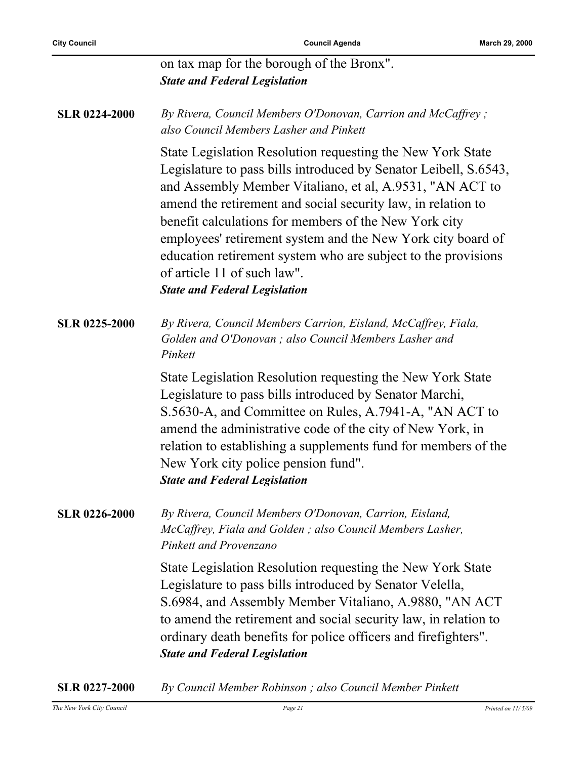|                      | on tax map for the borough of the Bronx".<br><b>State and Federal Legislation</b>                                                                                                                                                                                                                                                                                                                                                                                                                                          |
|----------------------|----------------------------------------------------------------------------------------------------------------------------------------------------------------------------------------------------------------------------------------------------------------------------------------------------------------------------------------------------------------------------------------------------------------------------------------------------------------------------------------------------------------------------|
| <b>SLR 0224-2000</b> | By Rivera, Council Members O'Donovan, Carrion and McCaffrey;<br>also Council Members Lasher and Pinkett                                                                                                                                                                                                                                                                                                                                                                                                                    |
|                      | State Legislation Resolution requesting the New York State<br>Legislature to pass bills introduced by Senator Leibell, S.6543,<br>and Assembly Member Vitaliano, et al, A.9531, "AN ACT to<br>amend the retirement and social security law, in relation to<br>benefit calculations for members of the New York city<br>employees' retirement system and the New York city board of<br>education retirement system who are subject to the provisions<br>of article 11 of such law".<br><b>State and Federal Legislation</b> |
| <b>SLR 0225-2000</b> | By Rivera, Council Members Carrion, Eisland, McCaffrey, Fiala,<br>Golden and O'Donovan; also Council Members Lasher and<br>Pinkett                                                                                                                                                                                                                                                                                                                                                                                         |
|                      | State Legislation Resolution requesting the New York State<br>Legislature to pass bills introduced by Senator Marchi,<br>S.5630-A, and Committee on Rules, A.7941-A, "AN ACT to<br>amend the administrative code of the city of New York, in<br>relation to establishing a supplements fund for members of the<br>New York city police pension fund".<br><b>State and Federal Legislation</b>                                                                                                                              |
| <b>SLR 0226-2000</b> | By Rivera, Council Members O'Donovan, Carrion, Eisland,<br>McCaffrey, Fiala and Golden; also Council Members Lasher,<br>Pinkett and Provenzano                                                                                                                                                                                                                                                                                                                                                                             |
|                      | State Legislation Resolution requesting the New York State<br>Legislature to pass bills introduced by Senator Velella,<br>S.6984, and Assembly Member Vitaliano, A.9880, "AN ACT<br>to amend the retirement and social security law, in relation to<br>ordinary death benefits for police officers and firefighters".<br><b>State and Federal Legislation</b>                                                                                                                                                              |

**SLR 0227-2000** *By Council Member Robinson ; also Council Member Pinkett*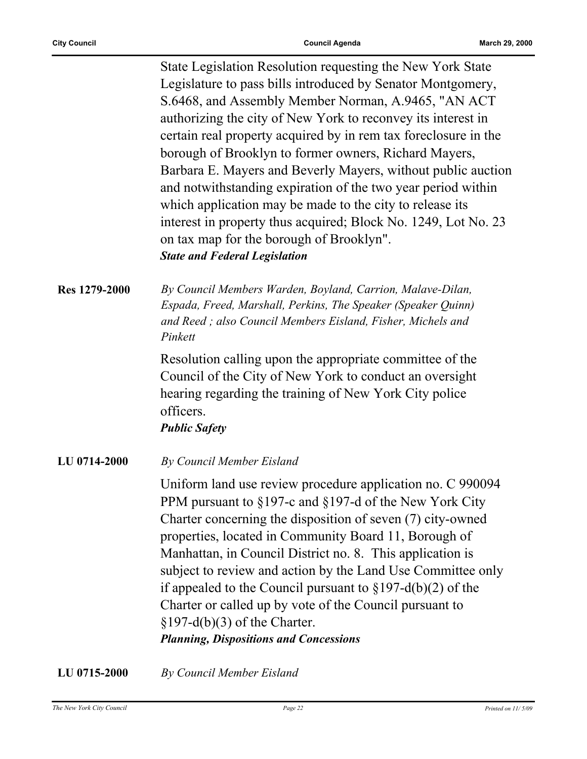State Legislation Resolution requesting the New York State Legislature to pass bills introduced by Senator Montgomery, S.6468, and Assembly Member Norman, A.9465, "AN ACT authorizing the city of New York to reconvey its interest in certain real property acquired by in rem tax foreclosure in the borough of Brooklyn to former owners, Richard Mayers, Barbara E. Mayers and Beverly Mayers, without public auction and notwithstanding expiration of the two year period within which application may be made to the city to release its interest in property thus acquired; Block No. 1249, Lot No. 23 on tax map for the borough of Brooklyn". *State and Federal Legislation*

**Res 1279-2000** *By Council Members Warden, Boyland, Carrion, Malave-Dilan, Espada, Freed, Marshall, Perkins, The Speaker (Speaker Quinn) and Reed ; also Council Members Eisland, Fisher, Michels and Pinkett*

> Resolution calling upon the appropriate committee of the Council of the City of New York to conduct an oversight hearing regarding the training of New York City police officers.

*Public Safety*

**LU 0714-2000** *By Council Member Eisland*

Uniform land use review procedure application no. C 990094 PPM pursuant to §197-c and §197-d of the New York City Charter concerning the disposition of seven (7) city-owned properties, located in Community Board 11, Borough of Manhattan, in Council District no. 8. This application is subject to review and action by the Land Use Committee only if appealed to the Council pursuant to  $\S 197-d(b)(2)$  of the Charter or called up by vote of the Council pursuant to  $$197-d(b)(3)$  of the Charter. *Planning, Dispositions and Concessions*

**LU 0715-2000** *By Council Member Eisland*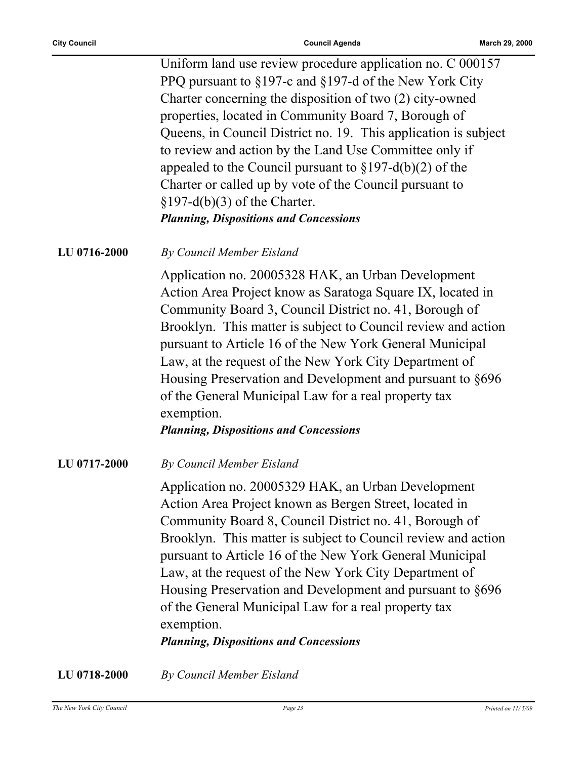Uniform land use review procedure application no. C 000157 PPQ pursuant to §197-c and §197-d of the New York City Charter concerning the disposition of two (2) city-owned properties, located in Community Board 7, Borough of Queens, in Council District no. 19. This application is subject to review and action by the Land Use Committee only if appealed to the Council pursuant to  $\S 197-d(b)(2)$  of the Charter or called up by vote of the Council pursuant to  $$197-d(b)(3)$  of the Charter. *Planning, Dispositions and Concessions*

#### **LU 0716-2000** *By Council Member Eisland*

Application no. 20005328 HAK, an Urban Development Action Area Project know as Saratoga Square IX, located in Community Board 3, Council District no. 41, Borough of Brooklyn. This matter is subject to Council review and action pursuant to Article 16 of the New York General Municipal Law, at the request of the New York City Department of Housing Preservation and Development and pursuant to §696 of the General Municipal Law for a real property tax exemption.

*Planning, Dispositions and Concessions*

**LU 0717-2000** *By Council Member Eisland*

Application no. 20005329 HAK, an Urban Development Action Area Project known as Bergen Street, located in Community Board 8, Council District no. 41, Borough of Brooklyn. This matter is subject to Council review and action pursuant to Article 16 of the New York General Municipal Law, at the request of the New York City Department of Housing Preservation and Development and pursuant to §696 of the General Municipal Law for a real property tax exemption.

*Planning, Dispositions and Concessions*

**LU 0718-2000** *By Council Member Eisland*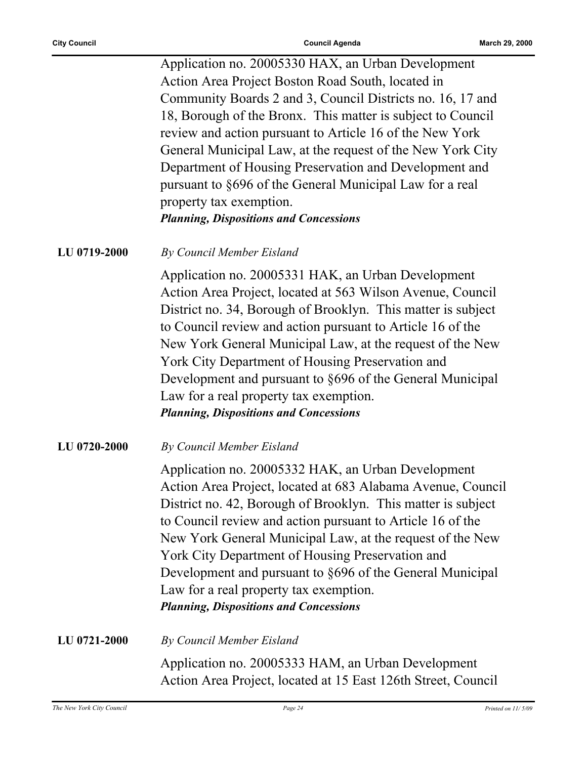Application no. 20005330 HAX, an Urban Development Action Area Project Boston Road South, located in Community Boards 2 and 3, Council Districts no. 16, 17 and 18, Borough of the Bronx. This matter is subject to Council review and action pursuant to Article 16 of the New York General Municipal Law, at the request of the New York City Department of Housing Preservation and Development and pursuant to §696 of the General Municipal Law for a real property tax exemption. *Planning, Dispositions and Concessions*

**LU 0719-2000** *By Council Member Eisland*

Application no. 20005331 HAK, an Urban Development Action Area Project, located at 563 Wilson Avenue, Council District no. 34, Borough of Brooklyn. This matter is subject to Council review and action pursuant to Article 16 of the New York General Municipal Law, at the request of the New York City Department of Housing Preservation and Development and pursuant to §696 of the General Municipal Law for a real property tax exemption. *Planning, Dispositions and Concessions*

**LU 0720-2000** *By Council Member Eisland*

Application no. 20005332 HAK, an Urban Development Action Area Project, located at 683 Alabama Avenue, Council District no. 42, Borough of Brooklyn. This matter is subject to Council review and action pursuant to Article 16 of the New York General Municipal Law, at the request of the New York City Department of Housing Preservation and Development and pursuant to §696 of the General Municipal Law for a real property tax exemption. *Planning, Dispositions and Concessions*

**LU 0721-2000** *By Council Member Eisland*

Application no. 20005333 HAM, an Urban Development Action Area Project, located at 15 East 126th Street, Council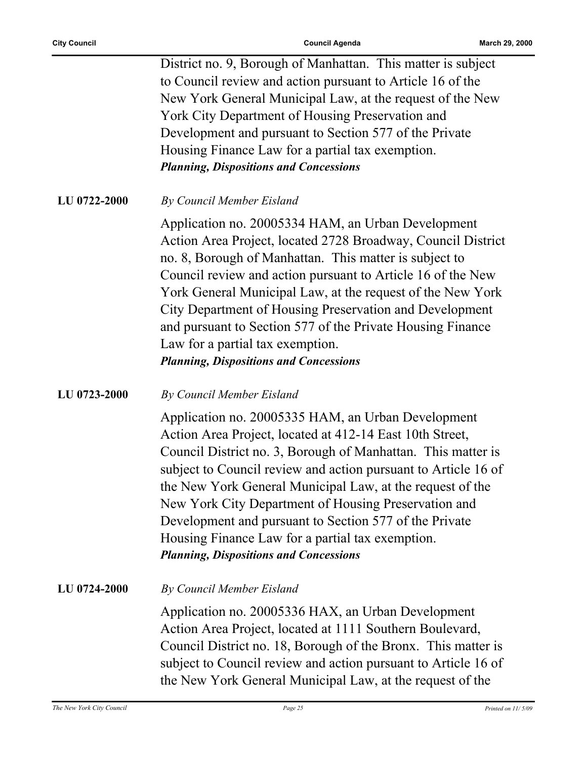District no. 9, Borough of Manhattan. This matter is subject to Council review and action pursuant to Article 16 of the New York General Municipal Law, at the request of the New York City Department of Housing Preservation and Development and pursuant to Section 577 of the Private Housing Finance Law for a partial tax exemption. *Planning, Dispositions and Concessions*

**LU 0722-2000** *By Council Member Eisland*

Application no. 20005334 HAM, an Urban Development Action Area Project, located 2728 Broadway, Council District no. 8, Borough of Manhattan. This matter is subject to Council review and action pursuant to Article 16 of the New York General Municipal Law, at the request of the New York City Department of Housing Preservation and Development and pursuant to Section 577 of the Private Housing Finance Law for a partial tax exemption. *Planning, Dispositions and Concessions*

**LU 0723-2000** *By Council Member Eisland*

Application no. 20005335 HAM, an Urban Development Action Area Project, located at 412-14 East 10th Street, Council District no. 3, Borough of Manhattan. This matter is subject to Council review and action pursuant to Article 16 of the New York General Municipal Law, at the request of the New York City Department of Housing Preservation and Development and pursuant to Section 577 of the Private Housing Finance Law for a partial tax exemption. *Planning, Dispositions and Concessions*

**LU 0724-2000** *By Council Member Eisland*

Application no. 20005336 HAX, an Urban Development Action Area Project, located at 1111 Southern Boulevard, Council District no. 18, Borough of the Bronx. This matter is subject to Council review and action pursuant to Article 16 of the New York General Municipal Law, at the request of the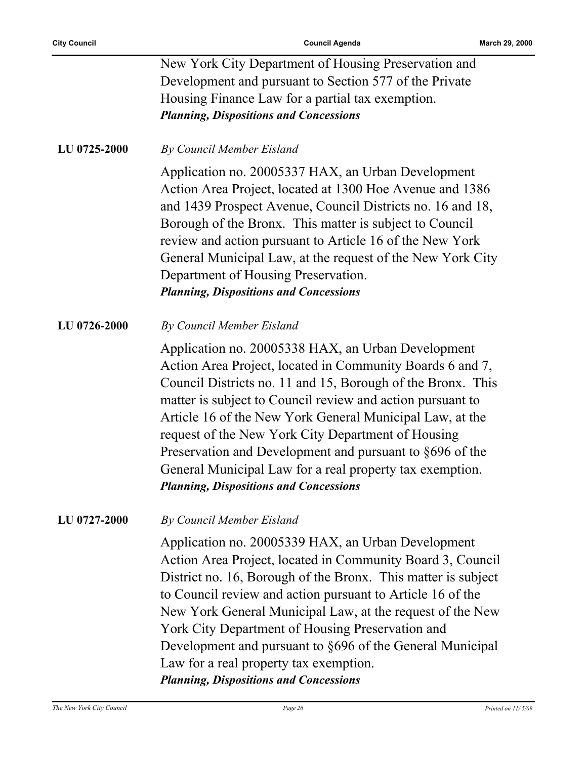| New York City Department of Housing Preservation and   |  |
|--------------------------------------------------------|--|
| Development and pursuant to Section 577 of the Private |  |
| Housing Finance Law for a partial tax exemption.       |  |
| <b>Planning, Dispositions and Concessions</b>          |  |

**LU 0725-2000** *By Council Member Eisland*

Application no. 20005337 HAX, an Urban Development Action Area Project, located at 1300 Hoe Avenue and 1386 and 1439 Prospect Avenue, Council Districts no. 16 and 18, Borough of the Bronx. This matter is subject to Council review and action pursuant to Article 16 of the New York General Municipal Law, at the request of the New York City Department of Housing Preservation. *Planning, Dispositions and Concessions*

**LU 0726-2000** *By Council Member Eisland*

Application no. 20005338 HAX, an Urban Development Action Area Project, located in Community Boards 6 and 7, Council Districts no. 11 and 15, Borough of the Bronx. This matter is subject to Council review and action pursuant to Article 16 of the New York General Municipal Law, at the request of the New York City Department of Housing Preservation and Development and pursuant to §696 of the General Municipal Law for a real property tax exemption. *Planning, Dispositions and Concessions*

#### **LU 0727-2000** *By Council Member Eisland*

Application no. 20005339 HAX, an Urban Development Action Area Project, located in Community Board 3, Council District no. 16, Borough of the Bronx. This matter is subject to Council review and action pursuant to Article 16 of the New York General Municipal Law, at the request of the New York City Department of Housing Preservation and Development and pursuant to §696 of the General Municipal Law for a real property tax exemption. *Planning, Dispositions and Concessions*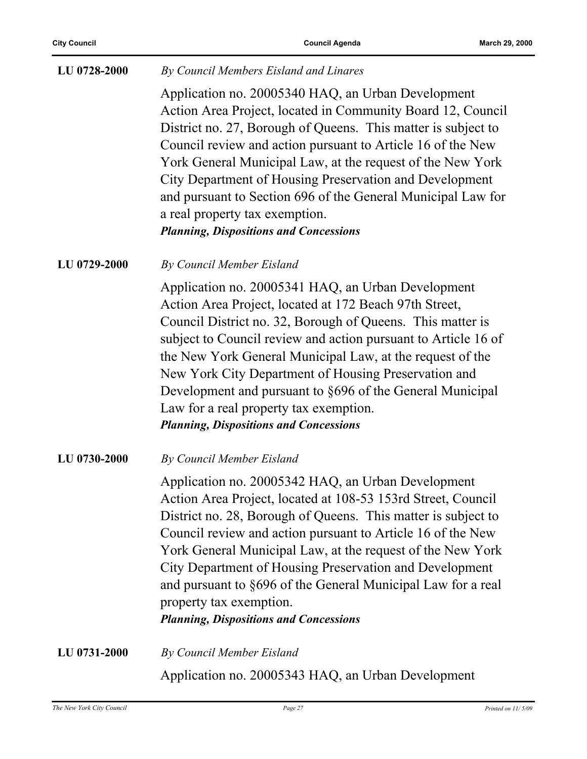#### **LU 0728-2000** *By Council Members Eisland and Linares*

Application no. 20005340 HAQ, an Urban Development Action Area Project, located in Community Board 12, Council District no. 27, Borough of Queens. This matter is subject to Council review and action pursuant to Article 16 of the New York General Municipal Law, at the request of the New York City Department of Housing Preservation and Development and pursuant to Section 696 of the General Municipal Law for a real property tax exemption. *Planning, Dispositions and Concessions*

**LU 0729-2000** *By Council Member Eisland*

Application no. 20005341 HAQ, an Urban Development Action Area Project, located at 172 Beach 97th Street, Council District no. 32, Borough of Queens. This matter is subject to Council review and action pursuant to Article 16 of the New York General Municipal Law, at the request of the New York City Department of Housing Preservation and Development and pursuant to §696 of the General Municipal Law for a real property tax exemption. *Planning, Dispositions and Concessions*

**LU 0730-2000** *By Council Member Eisland*

Application no. 20005342 HAQ, an Urban Development Action Area Project, located at 108-53 153rd Street, Council District no. 28, Borough of Queens. This matter is subject to Council review and action pursuant to Article 16 of the New York General Municipal Law, at the request of the New York City Department of Housing Preservation and Development and pursuant to §696 of the General Municipal Law for a real property tax exemption.

*Planning, Dispositions and Concessions*

**LU 0731-2000** *By Council Member Eisland* Application no. 20005343 HAQ, an Urban Development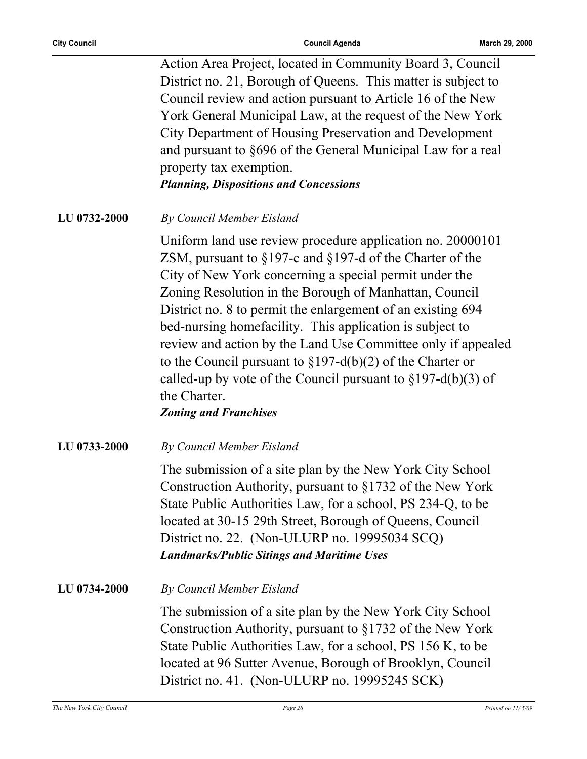Action Area Project, located in Community Board 3, Council District no. 21, Borough of Queens. This matter is subject to Council review and action pursuant to Article 16 of the New York General Municipal Law, at the request of the New York City Department of Housing Preservation and Development and pursuant to §696 of the General Municipal Law for a real property tax exemption.

*Planning, Dispositions and Concessions*

**LU 0732-2000** *By Council Member Eisland*

Uniform land use review procedure application no. 20000101 ZSM, pursuant to §197-c and §197-d of the Charter of the City of New York concerning a special permit under the Zoning Resolution in the Borough of Manhattan, Council District no. 8 to permit the enlargement of an existing 694 bed-nursing homefacility. This application is subject to review and action by the Land Use Committee only if appealed to the Council pursuant to §197-d(b)(2) of the Charter or called-up by vote of the Council pursuant to  $\S 197-d(b)(3)$  of the Charter.

*Zoning and Franchises*

**LU 0733-2000** *By Council Member Eisland*

The submission of a site plan by the New York City School Construction Authority, pursuant to §1732 of the New York State Public Authorities Law, for a school, PS 234-Q, to be located at 30-15 29th Street, Borough of Queens, Council District no. 22. (Non-ULURP no. 19995034 SCQ) *Landmarks/Public Sitings and Maritime Uses*

**LU 0734-2000** *By Council Member Eisland*

The submission of a site plan by the New York City School Construction Authority, pursuant to §1732 of the New York State Public Authorities Law, for a school, PS 156 K, to be located at 96 Sutter Avenue, Borough of Brooklyn, Council District no. 41. (Non-ULURP no. 19995245 SCK)